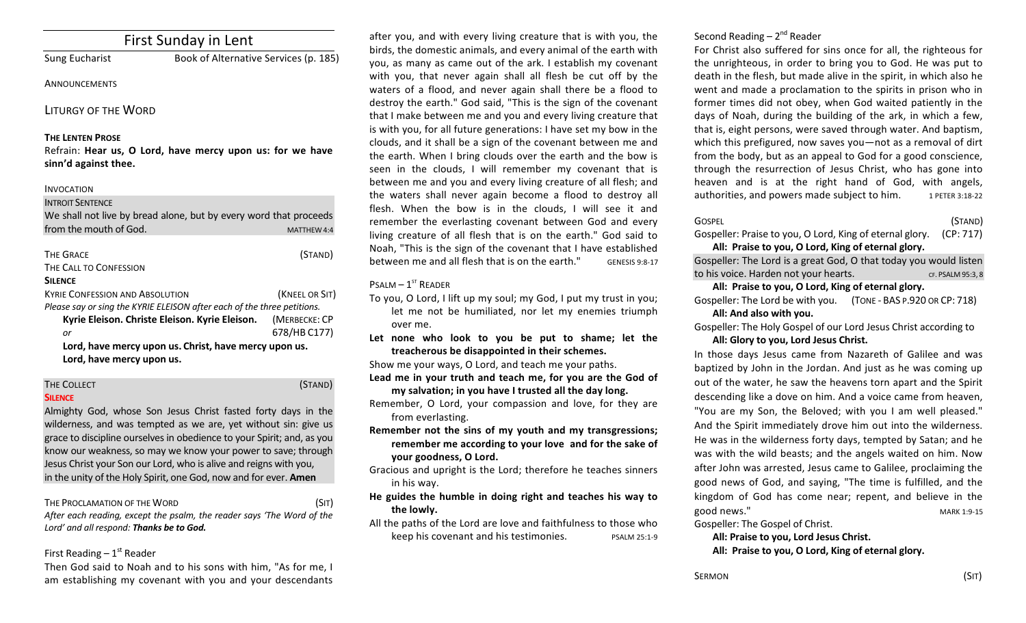# First Sunday in Lent

Sung Eucharist Book of Alternative Services (p. 185)

#### **ANNOUNCEMENTS**

### LITURGY OF THE WORD

#### **THE LENTEN PROSE**

Refrain: Hear us, O Lord, have mercy upon us: for we have **sinn'd against thee.**

#### INVOCATION

# **INTROIT SENTENCE** We shall not live by bread alone, but by every word that proceeds from the mouth of God. The matter of the matter of the matter of the matter of the matter of the matter of the matter of the matter of the matter of the matter of the matter of the matter of the matter of the matter of the

| <b>THE GRACE</b>                                                        | (STAND)        |  |
|-------------------------------------------------------------------------|----------------|--|
| THE CALL TO CONFESSION                                                  |                |  |
| <b>SILENCE</b>                                                          |                |  |
| <b>KYRIE CONFESSION AND ABSOLUTION</b>                                  | (KNEEL OR SIT) |  |
| Please say or sing the KYRIE ELEISON after each of the three petitions. |                |  |
| Kyrie Eleison. Christe Eleison. Kyrie Eleison.                          | (MERBECKE: CP  |  |
| or                                                                      | 678/HB C177)   |  |
| Lord, have mercy upon us. Christ, have mercy upon us.                   |                |  |
| Lord, have mercy upon us.                                               |                |  |

#### THE COLLECT **THE COLLECT COLLECT COLLECT COLLECT COLLECT COLLECT COLLECT COLLECT COLLECT COLLECT SILENCE**

Almighty God, whose Son Jesus Christ fasted forty days in the wilderness, and was tempted as we are, yet without sin: give us grace to discipline ourselves in obedience to your Spirit; and, as you know our weakness, so may we know your power to save; through Jesus Christ your Son our Lord, who is alive and reigns with you, in the unity of the Holy Spirit, one God, now and for ever. **Amen** 

THE PROCLAMATION OF THE WORD (SIT) After each reading, except the psalm, the reader says 'The Word of the Lord' and all respond: Thanks be to God.

### First Reading  $-1<sup>st</sup>$  Reader

Then God said to Noah and to his sons with him, "As for me, I am establishing my covenant with you and your descendants

after you, and with every living creature that is with you, the birds, the domestic animals, and every animal of the earth with you, as many as came out of the ark. I establish my covenant with you, that never again shall all flesh be cut off by the waters of a flood, and never again shall there be a flood to destroy the earth." God said, "This is the sign of the covenant that I make between me and you and every living creature that is with you, for all future generations: I have set my bow in the clouds, and it shall be a sign of the covenant between me and the earth. When I bring clouds over the earth and the bow is seen in the clouds, I will remember my covenant that is between me and you and every living creature of all flesh; and the waters shall never again become a flood to destroy all flesh. When the bow is in the clouds, I will see it and remember the everlasting covenant between God and every living creature of all flesh that is on the earth." God said to Noah, "This is the sign of the covenant that I have established between me and all flesh that is on the earth." GENESIS 9:8-17

# $P$ SALM –  $1<sup>ST</sup>$  READER

- To you, O Lord, I lift up my soul; my God, I put my trust in you; let me not be humiliated, nor let my enemies triumph over me.
- Let none who look to you be put to shame; let the treacherous be disappointed in their schemes.

Show me your ways, O Lord, and teach me your paths.

- Lead me in your truth and teach me, for you are the God of my salvation; in you have I trusted all the day long.
- Remember, O Lord, your compassion and love, for they are from everlasting.
- **Remember not the sins of my youth and my transgressions:** remember me according to your love and for the sake of **your goodness, O Lord.**
- Gracious and upright is the Lord; therefore he teaches sinners in his way.
- He guides the humble in doing right and teaches his way to **the lowly.**
- All the paths of the Lord are love and faithfulness to those who keep his covenant and his testimonies. PSALM 25:1-9

# Second Reading  $- 2<sup>nd</sup>$  Reader

For Christ also suffered for sins once for all, the righteous for the unrighteous, in order to bring you to God. He was put to death in the flesh, but made alive in the spirit, in which also he went and made a proclamation to the spirits in prison who in former times did not obey, when God waited patiently in the days of Noah, during the building of the ark, in which a few, that is, eight persons, were saved through water. And baptism, which this prefigured, now saves you—not as a removal of dirt from the body, but as an appeal to God for a good conscience, through the resurrection of Jesus Christ, who has gone into heaven and is at the right hand of God, with angels, authorities, and powers made subject to him. 1 PETER 3:18-22

### $\overline{S}$  GOSPEL  $\overline{S}$   $\overline{S}$   $\overline{S}$   $\overline{S}$   $\overline{S}$   $\overline{S}$   $\overline{S}$   $\overline{S}$   $\overline{S}$   $\overline{S}$   $\overline{S}$   $\overline{S}$   $\overline{S}$   $\overline{S}$   $\overline{S}$   $\overline{S}$   $\overline{S}$   $\overline{S}$   $\overline{S}$   $\overline{S}$   $\overline{S}$   $\overline{S}$   $\overline{S}$

Gospeller: Praise to you, O Lord, King of eternal glory. (CP: 717)

### All: Praise to you, O Lord, King of eternal glory.

Gospeller: The Lord is a great God, O that today you would listen to his voice. Harden not your hearts. The cr. PSALM 95:3, 8

### All: Praise to you, O Lord, King of eternal glory.

Gospeller: The Lord be with you. (TONE - BAS P.920 OR CP: 718) All: And also with you.

Gospeller: The Holy Gospel of our Lord Jesus Christ according to All: Glory to you, Lord Jesus Christ.

In those days Jesus came from Nazareth of Galilee and was baptized by John in the Jordan. And just as he was coming up out of the water, he saw the heavens torn apart and the Spirit descending like a dove on him. And a voice came from heaven, "You are my Son, the Beloved; with you I am well pleased." And the Spirit immediately drove him out into the wilderness. He was in the wilderness forty days, tempted by Satan; and he was with the wild beasts; and the angels waited on him. Now after John was arrested, Jesus came to Galilee, proclaiming the good news of God, and saying, "The time is fulfilled, and the kingdom of God has come near; repent, and believe in the good news." MARK 1:9-15

Gospeller: The Gospel of Christ.

### All: Praise to you, Lord Jesus Christ. All: Praise to you, O Lord, King of eternal glory.